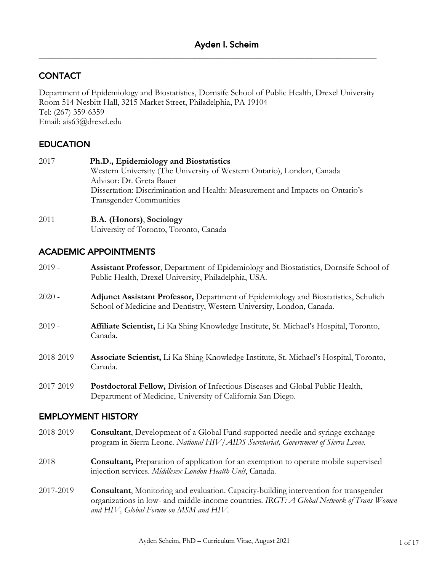# **CONTACT**

Department of Epidemiology and Biostatistics, Dornsife School of Public Health, Drexel University Room 514 Nesbitt Hall, 3215 Market Street, Philadelphia, PA 19104 Tel: (267) 359-6359 Email: ais63@drexel.edu

\_\_\_\_\_\_\_\_\_\_\_\_\_\_\_\_\_\_\_\_\_\_\_\_\_\_\_\_\_\_\_\_\_\_\_\_\_\_\_\_\_\_\_\_\_\_\_\_\_\_\_\_\_\_\_\_\_\_\_\_\_\_\_\_\_\_\_\_\_\_\_\_\_\_\_\_\_\_

## **EDUCATION**

| 2017 | Ph.D., Epidemiology and Biostatistics                                                                           |
|------|-----------------------------------------------------------------------------------------------------------------|
|      | Western University (The University of Western Ontario), London, Canada                                          |
|      | Advisor: Dr. Greta Bauer                                                                                        |
|      | Dissertation: Discrimination and Health: Measurement and Impacts on Ontario's<br><b>Transgender Communities</b> |
|      |                                                                                                                 |

# 2011 **B.A. (Honors)**, **Sociology**

University of Toronto, Toronto, Canada

## ACADEMIC APPOINTMENTS

- 2019 **Assistant Professor**, Department of Epidemiology and Biostatistics, Dornsife School of Public Health, Drexel University, Philadelphia, USA.
- 2020 **Adjunct Assistant Professor,** Department of Epidemiology and Biostatistics, Schulich School of Medicine and Dentistry, Western University, London, Canada.
- 2019 **Affiliate Scientist,** Li Ka Shing Knowledge Institute, St. Michael's Hospital, Toronto, Canada.
- 2018-2019 **Associate Scientist,** Li Ka Shing Knowledge Institute, St. Michael's Hospital, Toronto, Canada.
- 2017-2019 **Postdoctoral Fellow,** Division of Infectious Diseases and Global Public Health, Department of Medicine, University of California San Diego.

### EMPLOYMENT HISTORY

- 2018-2019 **Consultant**, Development of a Global Fund-supported needle and syringe exchange program in Sierra Leone. *National HIV/AIDS Secretariat, Government of Sierra Leone.*
- 2018 **Consultant,** Preparation of application for an exemption to operate mobile supervised injection services. *Middlesex London Health Unit*, Canada.
- 2017-2019 **Consultant**, Monitoring and evaluation. Capacity-building intervention for transgender organizations in low- and middle-income countries. *IRGT: A Global Network of Trans Women and HIV, Global Forum on MSM and HIV.*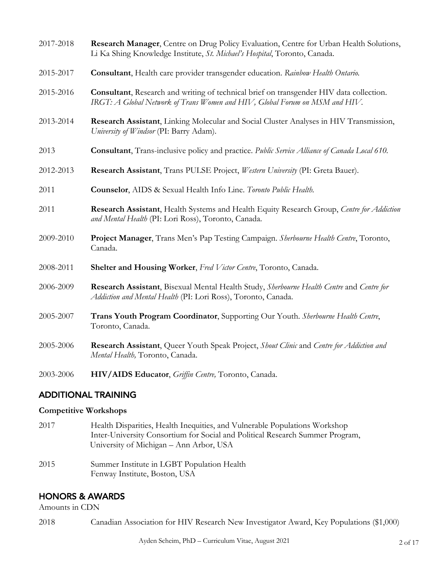| 2017-2018 | Research Manager, Centre on Drug Policy Evaluation, Centre for Urban Health Solutions,<br>Li Ka Shing Knowledge Institute, St. Michael's Hospital, Toronto, Canada.    |
|-----------|------------------------------------------------------------------------------------------------------------------------------------------------------------------------|
| 2015-2017 | Consultant, Health care provider transgender education. Rainbow Health Ontario.                                                                                        |
| 2015-2016 | Consultant, Research and writing of technical brief on transgender HIV data collection.<br>IRGT: A Global Network of Trans Women and HIV, Global Forum on MSM and HIV. |
| 2013-2014 | Research Assistant, Linking Molecular and Social Cluster Analyses in HIV Transmission,<br>University of Windsor (PI: Barry Adam).                                      |
| 2013      | <b>Consultant</b> , Trans-inclusive policy and practice. Public Service Alliance of Canada Local 610.                                                                  |
| 2012-2013 | Research Assistant, Trans PULSE Project, Western University (PI: Greta Bauer).                                                                                         |
| 2011      | Counselor, AIDS & Sexual Health Info Line. Toronto Public Health.                                                                                                      |
| 2011      | Research Assistant, Health Systems and Health Equity Research Group, Centre for Addiction<br>and Mental Health (PI: Lori Ross), Toronto, Canada.                       |
| 2009-2010 | Project Manager, Trans Men's Pap Testing Campaign. Sherbourne Health Centre, Toronto,<br>Canada.                                                                       |
| 2008-2011 | Shelter and Housing Worker, Fred Victor Centre, Toronto, Canada.                                                                                                       |
| 2006-2009 | Research Assistant, Bisexual Mental Health Study, Sherbourne Health Centre and Centre for<br>Addiction and Mental Health (PI: Lori Ross), Toronto, Canada.             |
| 2005-2007 | Trans Youth Program Coordinator, Supporting Our Youth. Sherbourne Health Centre,<br>Toronto, Canada.                                                                   |
| 2005-2006 | Research Assistant, Queer Youth Speak Project, Shout Clinic and Centre for Addiction and<br>Mental Health, Toronto, Canada.                                            |
| 2003-2006 | HIV/AIDS Educator, Griffin Centre, Toronto, Canada.                                                                                                                    |

### ADDITIONAL TRAINING

## **Competitive Workshops**

- 2017 Health Disparities, Health Inequities, and Vulnerable Populations Workshop Inter-University Consortium for Social and Political Research Summer Program, University of Michigan – Ann Arbor, USA
- 2015Summer Institute in LGBT Population Health Fenway Institute, Boston, USA

# HONORS & AWARDS

Amounts in CDN

2018 Canadian Association for HIV Research New Investigator Award, Key Populations (\$1,000)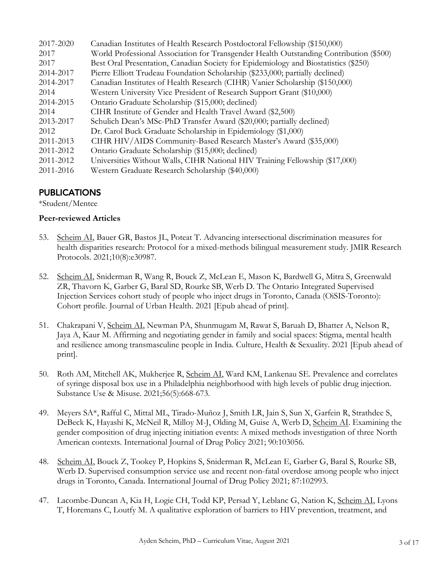| 2017-2020 | Canadian Institutes of Health Research Postdoctoral Fellowship (\$150,000)             |
|-----------|----------------------------------------------------------------------------------------|
| 2017      | World Professional Association for Transgender Health Outstanding Contribution (\$500) |
| 2017      | Best Oral Presentation, Canadian Society for Epidemiology and Biostatistics (\$250)    |
| 2014-2017 | Pierre Elliott Trudeau Foundation Scholarship (\$233,000; partially declined)          |
| 2014-2017 | Canadian Institutes of Health Research (CIHR) Vanier Scholarship (\$150,000)           |
| 2014      | Western University Vice President of Research Support Grant (\$10,000)                 |
| 2014-2015 | Ontario Graduate Scholarship (\$15,000; declined)                                      |
| 2014      | CIHR Institute of Gender and Health Travel Award (\$2,500)                             |
| 2013-2017 | Schulich Dean's MSc-PhD Transfer Award (\$20,000; partially declined)                  |
| 2012      | Dr. Carol Buck Graduate Scholarship in Epidemiology (\$1,000)                          |
| 2011-2013 | CIHR HIV/AIDS Community-Based Research Master's Award (\$35,000)                       |
| 2011-2012 | Ontario Graduate Scholarship (\$15,000; declined)                                      |
| 2011-2012 | Universities Without Walls, CIHR National HIV Training Fellowship (\$17,000)           |
| 2011-2016 | Western Graduate Research Scholarship (\$40,000)                                       |

# PUBLICATIONS

\*Student/Mentee

### **Peer-reviewed Articles**

- 53. Scheim AI, Bauer GR, Bastos JL, Poteat T. Advancing intersectional discrimination measures for health disparities research: Protocol for a mixed-methods bilingual measurement study. JMIR Research Protocols. 2021;10(8):e30987.
- 52. Scheim AI, Sniderman R, Wang R, Bouck Z, McLean E, Mason K, Bardwell G, Mitra S, Greenwald ZR, Thavorn K, Garber G, Baral SD, Rourke SB, Werb D. The Ontario Integrated Supervised Injection Services cohort study of people who inject drugs in Toronto, Canada (OiSIS-Toronto): Cohort profile. Journal of Urban Health. 2021 [Epub ahead of print].
- 51. Chakrapani V, Scheim AI, Newman PA, Shunmugam M, Rawat S, Baruah D, Bhatter A, Nelson R, Jaya A, Kaur M. Affirming and negotiating gender in family and social spaces: Stigma, mental health and resilience among transmasculine people in India. Culture, Health & Sexuality. 2021 [Epub ahead of print].
- 50. Roth AM, Mitchell AK, Mukherjee R, Scheim AI, Ward KM, Lankenau SE. Prevalence and correlates of syringe disposal box use in a Philadelphia neighborhood with high levels of public drug injection. Substance Use & Misuse. 2021;56(5):668-673.
- 49. Meyers SA\*, Rafful C, Mittal ML, Tirado-Muñoz J, Smith LR, Jain S, Sun X, Garfein R, Strathdee S, DeBeck K, Hayashi K, McNeil R, Milloy M-J, Olding M, Guise A, Werb D, Scheim AI. Examining the gender composition of drug injecting initiation events: A mixed methods investigation of three North American contexts. International Journal of Drug Policy 2021; 90:103056.
- 48. Scheim AI, Bouck Z, Tookey P, Hopkins S, Sniderman R, McLean E, Garber G, Baral S, Rourke SB, Werb D. Supervised consumption service use and recent non-fatal overdose among people who inject drugs in Toronto, Canada. International Journal of Drug Policy 2021; 87:102993.
- 47. Lacombe-Duncan A, Kia H, Logie CH, Todd KP, Persad Y, Leblanc G, Nation K, Scheim AI, Lyons T, Horemans C, Loutfy M. A qualitative exploration of barriers to HIV prevention, treatment, and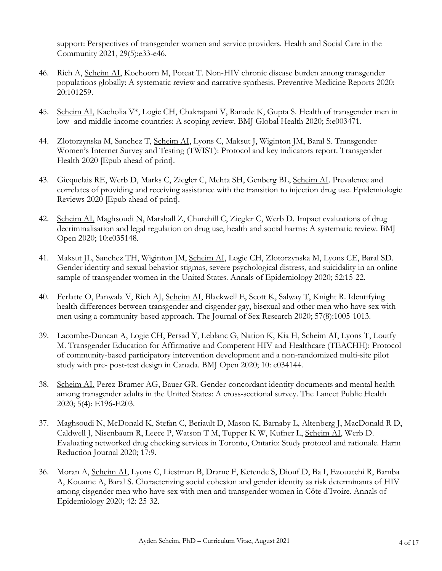support: Perspectives of transgender women and service providers. Health and Social Care in the Community 2021, 29(5):e33-e46.

- 46. Rich A, Scheim AI, Koehoorn M, Poteat T. Non-HIV chronic disease burden among transgender populations globally: A systematic review and narrative synthesis. Preventive Medicine Reports 2020: 20:101259.
- 45. Scheim AI, Kacholia V\*, Logie CH, Chakrapani V, Ranade K, Gupta S. Health of transgender men in low- and middle-income countries: A scoping review. BMJ Global Health 2020; 5:e003471.
- 44. Zlotorzynska M, Sanchez T, Scheim AI, Lyons C, Maksut J, Wiginton JM, Baral S. Transgender Women's Internet Survey and Testing (TWIST): Protocol and key indicators report. Transgender Health 2020 [Epub ahead of print].
- 43. Gicquelais RE, Werb D, Marks C, Ziegler C, Mehta SH, Genberg BL, Scheim AI. Prevalence and correlates of providing and receiving assistance with the transition to injection drug use. Epidemiologic Reviews 2020 [Epub ahead of print].
- 42. Scheim AI, Maghsoudi N, Marshall Z, Churchill C, Ziegler C, Werb D. Impact evaluations of drug decriminalisation and legal regulation on drug use, health and social harms: A systematic review. BMJ Open 2020; 10:e035148.
- 41. Maksut JL, Sanchez TH, Wiginton JM, Scheim AI, Logie CH, Zlotorzynska M, Lyons CE, Baral SD. Gender identity and sexual behavior stigmas, severe psychological distress, and suicidality in an online sample of transgender women in the United States. Annals of Epidemiology 2020; 52:15-22.
- 40. Ferlatte O, Panwala V, Rich AJ, Scheim AI, Blackwell E, Scott K, Salway T, Knight R. Identifying health differences between transgender and cisgender gay, bisexual and other men who have sex with men using a community-based approach. The Journal of Sex Research 2020; 57(8):1005-1013.
- 39. Lacombe-Duncan A, Logie CH, Persad Y, Leblanc G, Nation K, Kia H, Scheim AI, Lyons T, Loutfy M. Transgender Education for Affirmative and Competent HIV and Healthcare (TEACHH): Protocol of community-based participatory intervention development and a non-randomized multi-site pilot study with pre- post-test design in Canada. BMJ Open 2020; 10: e034144.
- 38. Scheim AI, Perez-Brumer AG, Bauer GR. Gender-concordant identity documents and mental health among transgender adults in the United States: A cross-sectional survey. The Lancet Public Health 2020; 5(4): E196-E203.
- 37. Maghsoudi N, McDonald K, Stefan C, Beriault D, Mason K, Barnaby L, Altenberg J, MacDonald R D, Caldwell J, Nisenbaum R, Leece P, Watson T M, Tupper K W, Kufner L, Scheim AI, Werb D. Evaluating networked drug checking services in Toronto, Ontario: Study protocol and rationale. Harm Reduction Journal 2020; 17:9.
- 36. Moran A, Scheim AI, Lyons C, Liestman B, Drame F, Ketende S, Diouf D, Ba I, Ezouatchi R, Bamba A, Kouame A, Baral S. Characterizing social cohesion and gender identity as risk determinants of HIV among cisgender men who have sex with men and transgender women in Côte d'Ivoire. Annals of Epidemiology 2020; 42: 25-32.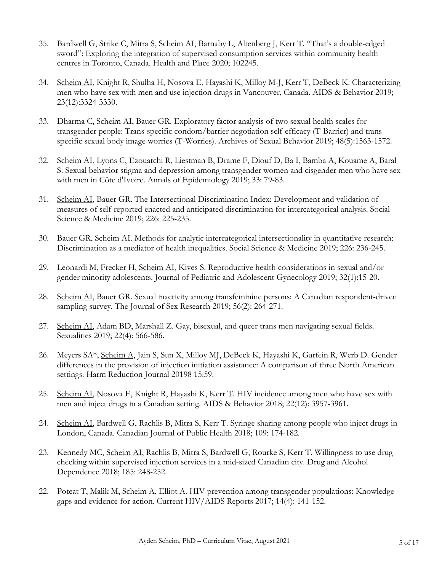- 35. Bardwell G, Strike C, Mitra S, Scheim AI, Barnaby L, Altenberg J, Kerr T. "That's a double-edged sword": Exploring the integration of supervised consumption services within community health centres in Toronto, Canada. Health and Place 2020; 102245.
- 34. Scheim AI, Knight R, Shulha H, Nosova E, Hayashi K, Milloy M-J, Kerr T, DeBeck K. Characterizing men who have sex with men and use injection drugs in Vancouver, Canada. AIDS & Behavior 2019; 23(12):3324-3330.
- 33. Dharma C, Scheim AI, Bauer GR. Exploratory factor analysis of two sexual health scales for transgender people: Trans-specific condom/barrier negotiation self-efficacy (T-Barrier) and transspecific sexual body image worries (T-Worries). Archives of Sexual Behavior 2019; 48(5):1563-1572.
- 32. Scheim AI, Lyons C, Ezouatchi R, Liestman B, Drame F, Diouf D, Ba I, Bamba A, Kouame A, Baral S. Sexual behavior stigma and depression among transgender women and cisgender men who have sex with men in Côte d'Ivoire. Annals of Epidemiology 2019; 33: 79-83.
- 31. Scheim AI, Bauer GR. The Intersectional Discrimination Index: Development and validation of measures of self-reported enacted and anticipated discrimination for intercategorical analysis. Social Science & Medicine 2019; 226: 225-235.
- 30. Bauer GR, Scheim AI. Methods for analytic intercategorical intersectionality in quantitative research: Discrimination as a mediator of health inequalities. Social Science & Medicine 2019; 226: 236-245.
- 29. Leonardi M, Frecker H, Scheim AI, Kives S. Reproductive health considerations in sexual and/or gender minority adolescents. Journal of Pediatric and Adolescent Gynecology 2019; 32(1):15-20.
- 28. Scheim AI, Bauer GR. Sexual inactivity among transfeminine persons: A Canadian respondent-driven sampling survey. The Journal of Sex Research 2019; 56(2): 264-271.
- 27. Scheim AI, Adam BD, Marshall Z. Gay, bisexual, and queer trans men navigating sexual fields. Sexualities 2019; 22(4): 566-586.
- 26. Meyers SA\*, Scheim A, Jain S, Sun X, Milloy MJ, DeBeck K, Hayashi K, Garfein R, Werb D. Gender differences in the provision of injection initiation assistance: A comparison of three North American settings. Harm Reduction Journal 20198 15:59.
- 25. Scheim AI, Nosova E, Knight R, Hayashi K, Kerr T. HIV incidence among men who have sex with men and inject drugs in a Canadian setting. AIDS & Behavior 2018; 22(12): 3957-3961.
- 24. Scheim AI, Bardwell G, Rachlis B, Mitra S, Kerr T. Syringe sharing among people who inject drugs in London, Canada. Canadian Journal of Public Health 2018; 109: 174-182.
- 23. Kennedy MC, Scheim AI, Rachlis B, Mitra S, Bardwell G, Rourke S, Kerr T. Willingness to use drug checking within supervised injection services in a mid-sized Canadian city. Drug and Alcohol Dependence 2018; 185: 248-252.
- 22. Poteat T, Malik M, Scheim A, Elliot A. HIV prevention among transgender populations: Knowledge gaps and evidence for action. Current HIV/AIDS Reports 2017; 14(4): 141-152.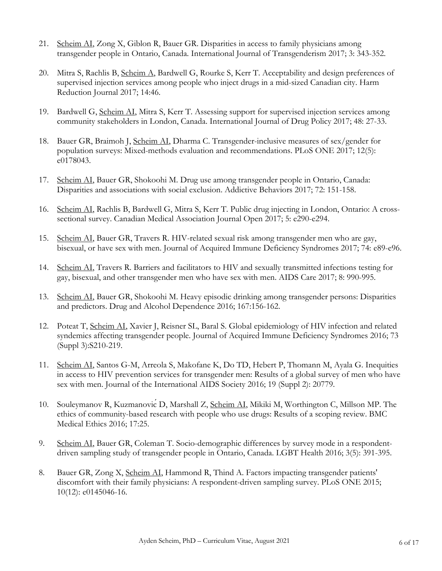- 21. Scheim AI, Zong X, Giblon R, Bauer GR. Disparities in access to family physicians among transgender people in Ontario, Canada. International Journal of Transgenderism 2017; 3: 343-352.
- 20. Mitra S, Rachlis B, Scheim A, Bardwell G, Rourke S, Kerr T. Acceptability and design preferences of supervised injection services among people who inject drugs in a mid-sized Canadian city. Harm Reduction Journal 2017; 14:46.
- 19. Bardwell G, Scheim AI, Mitra S, Kerr T. Assessing support for supervised injection services among community stakeholders in London, Canada. International Journal of Drug Policy 2017; 48: 27-33.
- 18. Bauer GR, Braimoh J, Scheim AI, Dharma C. Transgender-inclusive measures of sex/gender for population surveys: Mixed-methods evaluation and recommendations. PLoS ONE 2017; 12(5): e0178043.
- 17. Scheim AI, Bauer GR, Shokoohi M. Drug use among transgender people in Ontario, Canada: Disparities and associations with social exclusion. Addictive Behaviors 2017; 72: 151-158.
- 16. Scheim AI, Rachlis B, Bardwell G, Mitra S, Kerr T. Public drug injecting in London, Ontario: A crosssectional survey. Canadian Medical Association Journal Open 2017; 5: e290-e294.
- 15. Scheim AI, Bauer GR, Travers R. HIV-related sexual risk among transgender men who are gay, bisexual, or have sex with men. Journal of Acquired Immune Deficiency Syndromes 2017; 74: e89-e96.
- 14. Scheim AI, Travers R. Barriers and facilitators to HIV and sexually transmitted infections testing for gay, bisexual, and other transgender men who have sex with men. AIDS Care 2017; 8: 990-995.
- 13. Scheim AI, Bauer GR, Shokoohi M. Heavy episodic drinking among transgender persons: Disparities and predictors. Drug and Alcohol Dependence 2016; 167:156-162.
- 12. Poteat T, Scheim AI, Xavier J, Reisner SL, Baral S. Global epidemiology of HIV infection and related syndemics affecting transgender people. Journal of Acquired Immune Deficiency Syndromes 2016; 73 (Suppl 3):S210-219.
- 11. Scheim AI, Santos G-M, Arreola S, Makofane K, Do TD, Hebert P, Thomann M, Ayala G. Inequities in access to HIV prevention services for transgender men: Results of a global survey of men who have sex with men. Journal of the International AIDS Society 2016; 19 (Suppl 2): 20779.
- 10. Souleymanov R, KuzmanovićD, Marshall Z, Scheim AI, Mikiki M, Worthington C, Millson MP. The ethics of community-based research with people who use drugs: Results of a scoping review. BMC Medical Ethics 2016; 17:25.
- 9. Scheim AI, Bauer GR, Coleman T. Socio-demographic differences by survey mode in a respondentdriven sampling study of transgender people in Ontario, Canada. LGBT Health 2016; 3(5): 391-395.
- 8. Bauer GR, Zong X, Scheim AI, Hammond R, Thind A. Factors impacting transgender patients' discomfort with their family physicians: A respondent-driven sampling survey. PLoS ONE 2015; 10(12): e0145046-16.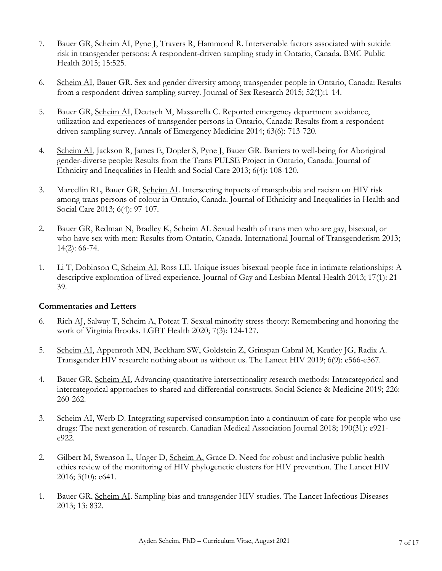- 7. Bauer GR, Scheim AI, Pyne J, Travers R, Hammond R. Intervenable factors associated with suicide risk in transgender persons: A respondent-driven sampling study in Ontario, Canada. BMC Public Health 2015; 15:525.
- 6. Scheim AI, Bauer GR. Sex and gender diversity among transgender people in Ontario, Canada: Results from a respondent-driven sampling survey. Journal of Sex Research 2015; 52(1):1-14.
- 5. Bauer GR, Scheim AI, Deutsch M, Massarella C. Reported emergency department avoidance, utilization and experiences of transgender persons in Ontario, Canada: Results from a respondentdriven sampling survey. Annals of Emergency Medicine 2014; 63(6): 713-720.
- 4. Scheim AI, Jackson R, James E, Dopler S, Pyne J, Bauer GR. Barriers to well-being for Aboriginal gender-diverse people: Results from the Trans PULSE Project in Ontario, Canada. Journal of Ethnicity and Inequalities in Health and Social Care 2013; 6(4): 108-120.
- 3. Marcellin RL, Bauer GR, Scheim AI. Intersecting impacts of transphobia and racism on HIV risk among trans persons of colour in Ontario, Canada. Journal of Ethnicity and Inequalities in Health and Social Care 2013; 6(4): 97-107.
- 2. Bauer GR, Redman N, Bradley K, Scheim AI. Sexual health of trans men who are gay, bisexual, or who have sex with men: Results from Ontario, Canada. International Journal of Transgenderism 2013; 14(2): 66-74.
- 1. Li T, Dobinson C, Scheim AI, Ross LE. Unique issues bisexual people face in intimate relationships: A descriptive exploration of lived experience. Journal of Gay and Lesbian Mental Health 2013; 17(1): 21- 39.

#### **Commentaries and Letters**

- 6. Rich AJ, Salway T, Scheim A, Poteat T. Sexual minority stress theory: Remembering and honoring the work of Virginia Brooks. LGBT Health 2020; 7(3): 124-127.
- 5. Scheim AI, Appenroth MN, Beckham SW, Goldstein Z, Grinspan Cabral M, Keatley JG, Radix A. Transgender HIV research: nothing about us without us. The Lancet HIV 2019; 6(9): e566-e567.
- 4. Bauer GR, Scheim AI. Advancing quantitative intersectionality research methods: Intracategorical and intercategorical approaches to shared and differential constructs. Social Science & Medicine 2019; 226: 260-262.
- 3. Scheim AI, Werb D. Integrating supervised consumption into a continuum of care for people who use drugs: The next generation of research. Canadian Medical Association Journal 2018; 190(31): e921 e922.
- 2. Gilbert M, Swenson L, Unger D, Scheim A, Grace D. Need for robust and inclusive public health ethics review of the monitoring of HIV phylogenetic clusters for HIV prevention. The Lancet HIV 2016; 3(10): e641.
- 1. Bauer GR, Scheim AI. Sampling bias and transgender HIV studies. The Lancet Infectious Diseases 2013; 13: 832.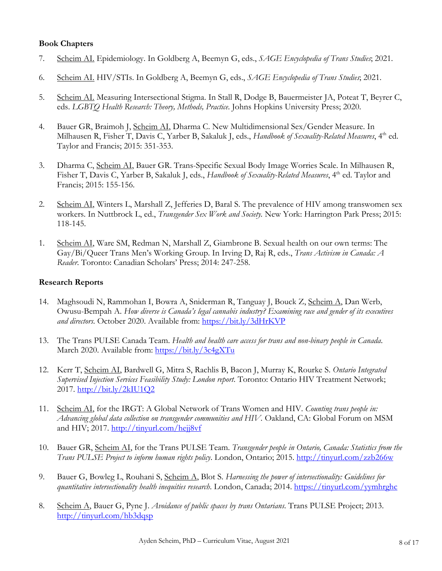#### **Book Chapters**

- 7. Scheim AI. Epidemiology. In Goldberg A, Beemyn G, eds., *SAGE Encyclopedia of Trans Studies*; 2021.
- 6. Scheim AI. HIV/STIs. In Goldberg A, Beemyn G, eds., *SAGE Encyclopedia of Trans Studies*; 2021.
- 5. Scheim AI. Measuring Intersectional Stigma. In Stall R, Dodge B, Bauermeister JA, Poteat T, Beyrer C, eds. *LGBTQ Health Research: Theory, Methods, Practice*. Johns Hopkins University Press; 2020.
- 4. Bauer GR, Braimoh J, Scheim AI, Dharma C. New Multidimensional Sex/Gender Measure. In Milhausen R, Fisher T, Davis C, Yarber B, Sakaluk J, eds., *Handbook of Sexuality-Related Measures*, 4th ed. Taylor and Francis; 2015: 351-353.
- 3. Dharma C, Scheim AI, Bauer GR. Trans-Specific Sexual Body Image Worries Scale. In Milhausen R, Fisher T, Davis C, Yarber B, Sakaluk J, eds., *Handbook of Sexuality-Related Measures*, 4<sup>th</sup> ed. Taylor and Francis; 2015: 155-156.
- 2. Scheim AI, Winters L, Marshall Z, Jefferies D, Baral S. The prevalence of HIV among transwomen sex workers. In Nuttbrock L, ed., *Transgender Sex Work and Society.* New York: Harrington Park Press; 2015: 118-145.
- 1. Scheim AI, Ware SM, Redman N, Marshall Z, Giambrone B. Sexual health on our own terms: The Gay/Bi/Queer Trans Men's Working Group. In Irving D, Raj R, eds., *Trans Activism in Canada: A Reader*. Toronto: Canadian Scholars' Press; 2014: 247-258.

#### **Research Reports**

- 14. Maghsoudi N, Rammohan I, Bowra A, Sniderman R, Tanguay J, Bouck Z, Scheim A, Dan Werb, Owusu-Bempah A. *How diverse is Canada's legal cannabis industry? Examining race and gender of its executives and directors.* October 2020. Available from: https://bit.ly/3dHrKVP
- 13. The Trans PULSE Canada Team. *Health and health care access for trans and non-binary people in Canada*. March 2020. Available from: https://bit.ly/3c4gXTu
- 12. Kerr T, Scheim AI, Bardwell G, Mitra S, Rachlis B, Bacon J, Murray K, Rourke S. *Ontario Integrated Supervised Injection Services Feasibility Study: London report*. Toronto: Ontario HIV Treatment Network; 2017. http://bit.ly/2kIU1Q2
- 11. Scheim AI, for the IRGT: A Global Network of Trans Women and HIV. *Counting trans people in: Advancing global data collection on transgender communities and HIV.* Oakland, CA: Global Forum on MSM and HIV; 2017. http://tinyurl.com/hejj8vf
- 10. Bauer GR, Scheim AI, for the Trans PULSE Team. *Transgender people in Ontario, Canada: Statistics from the Trans PULSE Project to inform human rights policy*. London, Ontario; 2015. http://tinyurl.com/zzb266w
- 9. Bauer G, Bowleg L, Rouhani S, Scheim A, Blot S. *Harnessing the power of intersectionality: Guidelines for quantitative intersectionality health inequities research*. London, Canada; 2014. https://tinyurl.com/yymhrghc
- 8. Scheim A, Bauer G, Pyne J. *Avoidance of public spaces by trans Ontarians*. Trans PULSE Project; 2013. http://tinyurl.com/hb3dqsp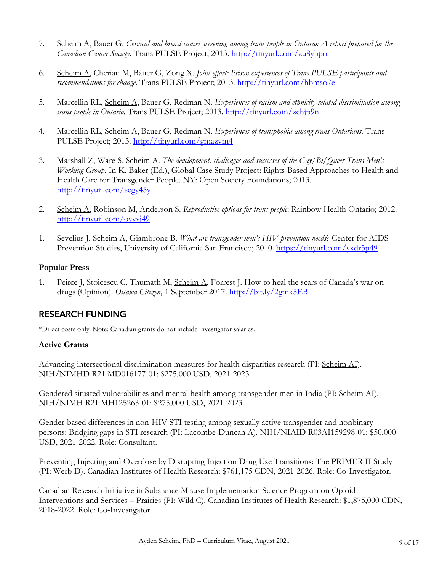- 7. Scheim A, Bauer G. *Cervical and breast cancer screening among trans people in Ontario: A report prepared for the Canadian Cancer Society*. Trans PULSE Project; 2013. http://tinyurl.com/zu8yhpo
- 6. Scheim A, Cherian M, Bauer G, Zong X. *Joint effort: Prison experiences of Trans PULSE participants and recommendations for change*. Trans PULSE Project; 2013. http://tinyurl.com/hbmso7e
- 5. Marcellin RL, Scheim A, Bauer G, Redman N*. Experiences of racism and ethnicity-related discrimination among trans people in Ontario.* Trans PULSE Project; 2013. http://tinyurl.com/zchjp9n
- 4. Marcellin RL, Scheim A, Bauer G, Redman N. *Experiences of transphobia among trans Ontarians*. Trans PULSE Project; 2013. http://tinyurl.com/gmazvm4
- 3. Marshall Z, Ware S, Scheim A. *The development, challenges and successes of the Gay/Bi/Queer Trans Men's Working Group*. In K. Baker (Ed.), Global Case Study Project: Rights-Based Approaches to Health and Health Care for Transgender People. NY: Open Society Foundations; 2013. http://tinyurl.com/zegy45y
- 2. Scheim A, Robinson M, Anderson S. *Reproductive options for trans people*: Rainbow Health Ontario; 2012. http://tinyurl.com/oyvyj49
- 1. Sevelius J, Scheim A, Giambrone B. *What are transgender men's HIV prevention needs*? Center for AIDS Prevention Studies, University of California San Francisco; 2010. https://tinyurl.com/yxdr3p49

### **Popular Press**

1. Peirce J, Stoicescu C, Thumath M, Scheim A, Forrest J. How to heal the scars of Canada's war on drugs (Opinion). *Ottawa Citizen*, 1 September 2017. http://bit.ly/2gmx5EB

# RESEARCH FUNDING

\*Direct costs only. Note: Canadian grants do not include investigator salaries.

### **Active Grants**

Advancing intersectional discrimination measures for health disparities research (PI: Scheim AI). NIH/NIMHD R21 MD016177-01: \$275,000 USD, 2021-2023.

Gendered situated vulnerabilities and mental health among transgender men in India (PI: Scheim AI). NIH/NIMH R21 MH125263-01: \$275,000 USD, 2021-2023.

Gender-based differences in non-HIV STI testing among sexually active transgender and nonbinary persons: Bridging gaps in STI research (PI: Lacombe-Duncan A). NIH/NIAID R03AI159298-01: \$50,000 USD, 2021-2022. Role: Consultant.

Preventing Injecting and Overdose by Disrupting Injection Drug Use Transitions: The PRIMER II Study (PI: Werb D). Canadian Institutes of Health Research: \$761,175 CDN, 2021-2026. Role: Co-Investigator.

Canadian Research Initiative in Substance Misuse Implementation Science Program on Opioid Interventions and Services – Prairies (PI: Wild C). Canadian Institutes of Health Research: \$1,875,000 CDN, 2018-2022. Role: Co-Investigator.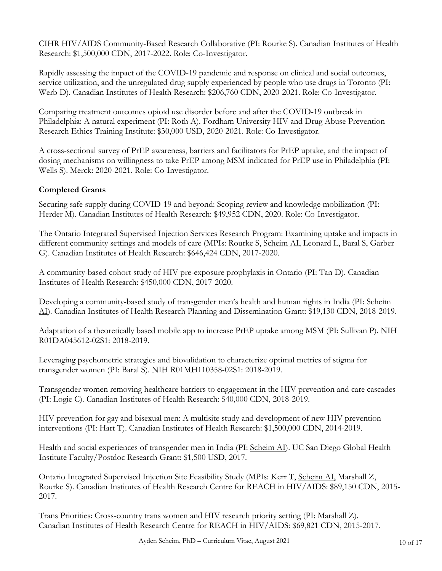CIHR HIV/AIDS Community-Based Research Collaborative (PI: Rourke S). Canadian Institutes of Health Research: \$1,500,000 CDN, 2017-2022. Role: Co-Investigator.

Rapidly assessing the impact of the COVID-19 pandemic and response on clinical and social outcomes, service utilization, and the unregulated drug supply experienced by people who use drugs in Toronto (PI: Werb D). Canadian Institutes of Health Research: \$206,760 CDN, 2020-2021. Role: Co-Investigator.

Comparing treatment outcomes opioid use disorder before and after the COVID-19 outbreak in Philadelphia: A natural experiment (PI: Roth A). Fordham University HIV and Drug Abuse Prevention Research Ethics Training Institute: \$30,000 USD, 2020-2021. Role: Co-Investigator.

A cross-sectional survey of PrEP awareness, barriers and facilitators for PrEP uptake, and the impact of dosing mechanisms on willingness to take PrEP among MSM indicated for PrEP use in Philadelphia (PI: Wells S). Merck: 2020-2021. Role: Co-Investigator.

## **Completed Grants**

Securing safe supply during COVID-19 and beyond: Scoping review and knowledge mobilization (PI: Herder M). Canadian Institutes of Health Research: \$49,952 CDN, 2020. Role: Co-Investigator.

The Ontario Integrated Supervised Injection Services Research Program: Examining uptake and impacts in different community settings and models of care (MPIs: Rourke S, Scheim AI, Leonard L, Baral S, Garber G). Canadian Institutes of Health Research: \$646,424 CDN, 2017-2020.

A community-based cohort study of HIV pre-exposure prophylaxis in Ontario (PI: Tan D). Canadian Institutes of Health Research: \$450,000 CDN, 2017-2020.

Developing a community-based study of transgender men's health and human rights in India (PI: Scheim AI). Canadian Institutes of Health Research Planning and Dissemination Grant: \$19,130 CDN, 2018-2019.

Adaptation of a theoretically based mobile app to increase PrEP uptake among MSM (PI: Sullivan P). NIH R01DA045612-02S1: 2018-2019.

Leveraging psychometric strategies and biovalidation to characterize optimal metrics of stigma for transgender women (PI: Baral S). NIH R01MH110358-02S1: 2018-2019.

Transgender women removing healthcare barriers to engagement in the HIV prevention and care cascades (PI: Logie C). Canadian Institutes of Health Research: \$40,000 CDN, 2018-2019.

HIV prevention for gay and bisexual men: A multisite study and development of new HIV prevention interventions (PI: Hart T). Canadian Institutes of Health Research: \$1,500,000 CDN, 2014-2019.

Health and social experiences of transgender men in India (PI: Scheim AI). UC San Diego Global Health Institute Faculty/Postdoc Research Grant: \$1,500 USD, 2017.

Ontario Integrated Supervised Injection Site Feasibility Study (MPIs: Kerr T, Scheim AI, Marshall Z, Rourke S). Canadian Institutes of Health Research Centre for REACH in HIV/AIDS: \$89,150 CDN, 2015- 2017.

Trans Priorities: Cross-country trans women and HIV research priority setting (PI: Marshall Z). Canadian Institutes of Health Research Centre for REACH in HIV/AIDS: \$69,821 CDN, 2015-2017.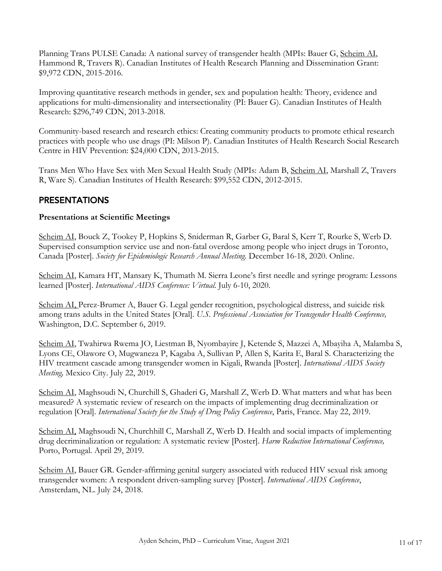Planning Trans PULSE Canada: A national survey of transgender health (MPIs: Bauer G, Scheim AI, Hammond R, Travers R). Canadian Institutes of Health Research Planning and Dissemination Grant: \$9,972 CDN, 2015-2016.

Improving quantitative research methods in gender, sex and population health: Theory, evidence and applications for multi-dimensionality and intersectionality (PI: Bauer G). Canadian Institutes of Health Research: \$296,749 CDN, 2013-2018.

Community-based research and research ethics: Creating community products to promote ethical research practices with people who use drugs (PI: Milson P). Canadian Institutes of Health Research Social Research Centre in HIV Prevention: \$24,000 CDN, 2013-2015.

Trans Men Who Have Sex with Men Sexual Health Study (MPIs: Adam B, Scheim AI, Marshall Z, Travers R, Ware S). Canadian Institutes of Health Research: \$99,552 CDN, 2012-2015.

# PRESENTATIONS

### **Presentations at Scientific Meetings**

Scheim AI, Bouck Z, Tookey P, Hopkins S, Sniderman R, Garber G, Baral S, Kerr T, Rourke S, Werb D. Supervised consumption service use and non-fatal overdose among people who inject drugs in Toronto, Canada [Poster]. *Society for Epidemiologic Research Annual Meeting.* December 16-18, 2020. Online.

Scheim AI, Kamara HT, Mansary K, Thumath M. Sierra Leone's first needle and syringe program: Lessons learned [Poster]. *International AIDS Conference: Virtual*. July 6-10, 2020.

Scheim AI, Perez-Brumer A, Bauer G. Legal gender recognition, psychological distress, and suicide risk among trans adults in the United States [Oral]. *U.S. Professional Association for Transgender Health Conference,*  Washington, D.C. September 6, 2019.

Scheim AI, Twahirwa Rwema JO, Liestman B, Nyombayire J, Ketende S, Mazzei A, Mbayiha A, Malamba S, Lyons CE, Olawore O, Mugwaneza P, Kagaba A, Sullivan P, Allen S, Karita E, Baral S. Characterizing the HIV treatment cascade among transgender women in Kigali, Rwanda [Poster]. *International AIDS Society Meeting,* Mexico City. July 22, 2019.

Scheim AI, Maghsoudi N, Churchill S, Ghaderi G, Marshall Z, Werb D. What matters and what has been measured? A systematic review of research on the impacts of implementing drug decriminalization or regulation [Oral]. *International Society for the Study of Drug Policy Conference*, Paris, France. May 22, 2019.

Scheim AI, Maghsoudi N, Churchhill C, Marshall Z, Werb D. Health and social impacts of implementing drug decriminalization or regulation: A systematic review [Poster]. *Harm Reduction International Conference,*  Porto, Portugal. April 29, 2019.

Scheim AI, Bauer GR. Gender-affirming genital surgery associated with reduced HIV sexual risk among transgender women: A respondent driven-sampling survey [Poster]. *International AIDS Conference*, Amsterdam, NL. July 24, 2018.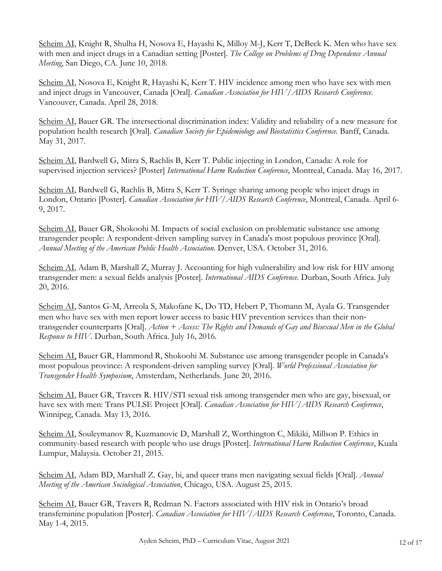Scheim AI, Knight R, Shulha H, Nosova E, Hayashi K, Milloy M-J, Kerr T, DeBeck K. Men who have sex with men and inject drugs in a Canadian setting [Poster]. *The College on Problems of Drug Dependence Annual Meeting*, San Diego, CA. June 10, 2018.

Scheim AI, Nosova E, Knight R, Hayashi K, Kerr T. HIV incidence among men who have sex with men and inject drugs in Vancouver, Canada [Oral]. *Canadian Association for HIV/AIDS Research Conference*. Vancouver, Canada. April 28, 2018.

Scheim AI, Bauer GR. The intersectional discrimination index: Validity and reliability of a new measure for population health research [Oral]. *Canadian Society for Epidemiology and Biostatistics Conference.* Banff, Canada. May 31, 2017.

Scheim AI, Bardwell G, Mitra S, Rachlis B, Kerr T. Public injecting in London, Canada: A role for supervised injection services? [Poster] *International Harm Reduction Conference*, Montreal, Canada. May 16, 2017.

Scheim AI, Bardwell G, Rachlis B, Mitra S, Kerr T. Syringe sharing among people who inject drugs in London, Ontario [Poster]. *Canadian Association for HIV/AIDS Research Conference*, Montreal, Canada. April 6- 9, 2017.

Scheim AI, Bauer GR, Shokoohi M. Impacts of social exclusion on problematic substance use among transgender people: A respondent-driven sampling survey in Canada's most populous province [Oral]. *Annual Meeting of the American Public Health Association.* Denver, USA. October 31, 2016.

Scheim AI, Adam B, Marshall Z, Murray J. Accounting for high vulnerability and low risk for HIV among transgender men: a sexual fields analysis [Poster]. *International AIDS Conference.* Durban, South Africa. July 20, 2016.

Scheim AI, Santos G-M, Arreola S, Makofane K, Do TD, Hebert P, Thomann M, Ayala G. Transgender men who have sex with men report lower access to basic HIV prevention services than their nontransgender counterparts [Oral]. *Action + Access: The Rights and Demands of Gay and Bisexual Men in the Global Response to HIV.* Durban, South Africa. July 16, 2016.

Scheim AI, Bauer GR, Hammond R, Shokoohi M. Substance use among transgender people in Canada's most populous province: A respondent-driven sampling survey [Oral]. *World Professional Association for Transgender Health Symposium*, Amsterdam, Netherlands. June 20, 2016.

Scheim AI, Bauer GR, Travers R. HIV/STI sexual risk among transgender men who are gay, bisexual, or have sex with men: Trans PULSE Project [Oral]. *Canadian Association for HIV/AIDS Research Conference*, Winnipeg, Canada. May 13, 2016.

Scheim AI, Souleymanov R, Kuzmanovic D, Marshall Z, Worthington C, Mikiki, Millson P. Ethics in community-based research with people who use drugs [Poster]. *International Harm Reduction Conference*, Kuala Lumpur, Malaysia. October 21, 2015.

Scheim AI, Adam BD, Marshall Z. Gay, bi, and queer trans men navigating sexual fields [Oral]. *Annual Meeting of the American Sociological Association*, Chicago, USA. August 25, 2015.

Scheim AI, Bauer GR, Travers R, Redman N. Factors associated with HIV risk in Ontario's broad transfeminine population [Poster]. *Canadian Association for HIV/AIDS Research Conference*, Toronto, Canada. May 1-4, 2015.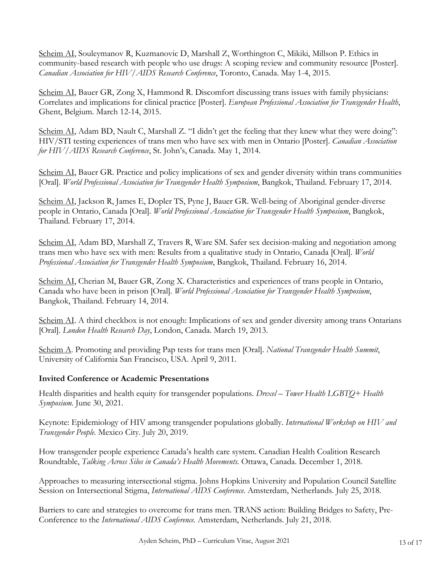Scheim AI, Souleymanov R, Kuzmanovic D, Marshall Z, Worthington C, Mikiki, Millson P. Ethics in community-based research with people who use drugs: A scoping review and community resource [Poster]. *Canadian Association for HIV/AIDS Research Conference*, Toronto, Canada. May 1-4, 2015.

Scheim AI, Bauer GR, Zong X, Hammond R. Discomfort discussing trans issues with family physicians: Correlates and implications for clinical practice [Poster]. *European Professional Association for Transgender Health*, Ghent, Belgium. March 12-14, 2015.

Scheim AI, Adam BD, Nault C, Marshall Z. "I didn't get the feeling that they knew what they were doing": HIV/STI testing experiences of trans men who have sex with men in Ontario [Poster]. *Canadian Association for HIV/AIDS Research Conference*, St. John's, Canada. May 1, 2014.

Scheim AI, Bauer GR. Practice and policy implications of sex and gender diversity within trans communities [Oral]. *World Professional Association for Transgender Health Symposium*, Bangkok, Thailand. February 17, 2014.

Scheim AI, Jackson R, James E, Dopler TS, Pyne J, Bauer GR. Well-being of Aboriginal gender-diverse people in Ontario, Canada [Oral]*. World Professional Association for Transgender Health Symposium*, Bangkok, Thailand. February 17, 2014.

Scheim AI, Adam BD, Marshall Z, Travers R, Ware SM. Safer sex decision-making and negotiation among trans men who have sex with men: Results from a qualitative study in Ontario, Canada [Oral]. *World Professional Association for Transgender Health Symposium*, Bangkok, Thailand. February 16, 2014.

Scheim AI, Cherian M, Bauer GR, Zong X. Characteristics and experiences of trans people in Ontario, Canada who have been in prison [Oral]. *World Professional Association for Transgender Health Symposium*, Bangkok, Thailand. February 14, 2014.

Scheim AI. A third checkbox is not enough: Implications of sex and gender diversity among trans Ontarians [Oral]. *London Health Research Day*, London, Canada. March 19, 2013.

Scheim A. Promoting and providing Pap tests for trans men [Oral]. *National Transgender Health Summit*, University of California San Francisco, USA. April 9, 2011.

### **Invited Conference or Academic Presentations**

Health disparities and health equity for transgender populations. *Drexel – Tower Health LGBTQ+ Health Symposium.* June 30, 2021.

Keynote: Epidemiology of HIV among transgender populations globally. *International Workshop on HIV and Transgender People.* Mexico City. July 20, 2019.

How transgender people experience Canada's health care system. Canadian Health Coalition Research Roundtable, *Talking Across Silos in Canada's Health Movements.* Ottawa, Canada. December 1, 2018.

Approaches to measuring intersectional stigma. Johns Hopkins University and Population Council Satellite Session on Intersectional Stigma, *International AIDS Conference.* Amsterdam, Netherlands. July 25, 2018.

Barriers to care and strategies to overcome for trans men. TRANS action: Building Bridges to Safety, Pre-Conference to the *International AIDS Conference.* Amsterdam, Netherlands. July 21, 2018.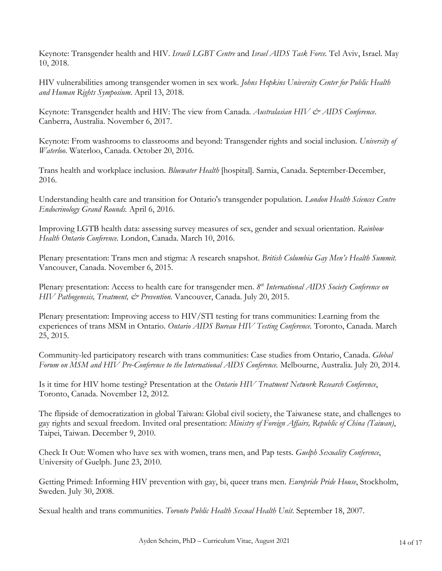Keynote: Transgender health and HIV. *Israeli LGBT Centre* and *Israel AIDS Task Force.* Tel Aviv, Israel. May 10, 2018.

HIV vulnerabilities among transgender women in sex work. *Johns Hopkins University Center for Public Health and Human Rights Symposium*. April 13, 2018.

Keynote: Transgender health and HIV: The view from Canada. *Australasian HIV & AIDS Conference*. Canberra, Australia. November 6, 2017.

Keynote: From washrooms to classrooms and beyond: Transgender rights and social inclusion. *University of Waterloo*. Waterloo, Canada. October 20, 2016.

Trans health and workplace inclusion. *Bluewater Health* [hospital]. Sarnia, Canada. September-December, 2016.

Understanding health care and transition for Ontario's transgender population. *London Health Sciences Centre Endocrinology Grand Rounds.* April 6, 2016.

Improving LGTB health data: assessing survey measures of sex, gender and sexual orientation. *Rainbow Health Ontario Conference.* London, Canada. March 10, 2016.

Plenary presentation: Trans men and stigma: A research snapshot. *British Columbia Gay Men's Health Summit.*  Vancouver, Canada. November 6, 2015.

Plenary presentation: Access to health care for transgender men. *8th International AIDS Society Conference on HIV Pathogenesis, Treatment, & Prevention.* Vancouver, Canada. July 20, 2015.

Plenary presentation: Improving access to HIV/STI testing for trans communities: Learning from the experiences of trans MSM in Ontario. *Ontario AIDS Bureau HIV Testing Conference.* Toronto, Canada. March 25, 2015.

Community-led participatory research with trans communities: Case studies from Ontario, Canada. *Global Forum on MSM and HIV Pre-Conference to the International AIDS Conference.* Melbourne, Australia. July 20, 2014.

Is it time for HIV home testing? Presentation at the *Ontario HIV Treatment Network Research Conference*, Toronto, Canada. November 12, 2012.

The flipside of democratization in global Taiwan: Global civil society, the Taiwanese state, and challenges to gay rights and sexual freedom. Invited oral presentation: *Ministry of Foreign Affairs, Republic of China (Taiwan)*, Taipei, Taiwan. December 9, 2010.

Check It Out: Women who have sex with women, trans men, and Pap tests. *Guelph Sexuality Conference*, University of Guelph. June 23, 2010.

Getting Primed: Informing HIV prevention with gay, bi, queer trans men. *Europride Pride House*, Stockholm, Sweden. July 30, 2008.

Sexual health and trans communities. *Toronto Public Health Sexual Health Unit*. September 18, 2007.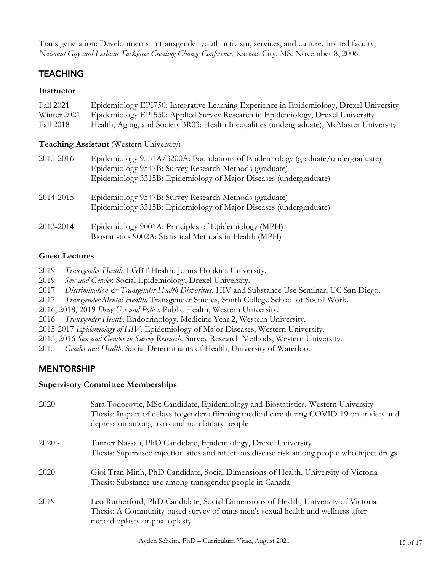Trans generation: Developments in transgender youth activism, services, and culture. Invited faculty, *National Gay and Lesbian Taskforce Creating Change Conference*, Kansas City, MS. November 8, 2006.

# **TEACHING**

### **Instructor**

| Fall 2021        | Epidemiology EPI750: Integrative Learning Experience in Epidemiology, Drexel University                                                                                                                        |
|------------------|----------------------------------------------------------------------------------------------------------------------------------------------------------------------------------------------------------------|
| Winter 2021      | Epidemiology EPI550: Applied Survey Research in Epidemiology, Drexel University                                                                                                                                |
| <b>Fall 2018</b> | Health, Aging, and Society 3R03: Health Inequalities (undergraduate), McMaster University                                                                                                                      |
|                  | <b>Teaching Assistant</b> (Western University)                                                                                                                                                                 |
| 2015-2016        | Epidemiology 9551A/3200A: Foundations of Epidemiology (graduate/undergraduate)<br>Epidemiology 9547B: Survey Research Methods (graduate)<br>Epidemiology 3315B: Epidemiology of Major Diseases (undergraduate) |
| 2014-2015        | Epidemiology 9547B: Survey Research Methods (graduate)<br>Epidemiology 3315B: Epidemiology of Major Diseases (undergraduate)                                                                                   |
| 2013-2014        | Epidemiology 9001A: Principles of Epidemiology (MPH)<br>Biostatistics 9002A: Statistical Methods in Health (MPH)                                                                                               |

## **Guest Lectures**

- 2019 *Transgender Health.* LGBT Health, Johns Hopkins University.
- 2019 *Sex and Gender.* Social Epidemiology, Drexel University.
- 2017 *Discrimination & Transgender Health Disparities*. HIV and Substance Use Seminar, UC San Diego.
- 2017 *Transgender Mental Health*. Transgender Studies, Smith College School of Social Work.
- 2016, 2018, 2019 *Drug Use and Policy.* Public Health, Western University.
- 2016 *Transgender Health*. Endocrinology, Medicine Year 2, Western University.
- 2015-2017 *Epidemiology of HIV*. Epidemiology of Major Diseases, Western University.
- 2015, 2016 *Sex and Gender in Survey Research*. Survey Research Methods, Western University.
- 2015 *Gender and Health*. Social Determinants of Health, University of Waterloo.

# MENTORSHIP

### **Supervisory Committee Memberships**

| $2020 -$ | Sara Todorovic, MSc Candidate, Epidemiology and Biostatistics, Western University<br>Thesis: Impact of delays to gender-affirming medical care during COVID-19 on anxiety and<br>depression among trans and non-binary people |
|----------|-------------------------------------------------------------------------------------------------------------------------------------------------------------------------------------------------------------------------------|
| $2020 -$ | Tanner Nassau, PhD Candidate, Epidemiology, Drexel University<br>Thesis: Supervised injection sites and infectious disease risk among people who inject drugs                                                                 |
| $2020 -$ | Gioi Tran Minh, PhD Candidate, Social Dimensions of Health, University of Victoria<br>Thesis: Substance use among transgender people in Canada                                                                                |
| $2019 -$ | Leo Rutherford, PhD Candidate, Social Dimensions of Health, University of Victoria<br>Thesis: A Community-based survey of trans men's sexual health and wellness after<br>metoidioplasty or phalloplasty                      |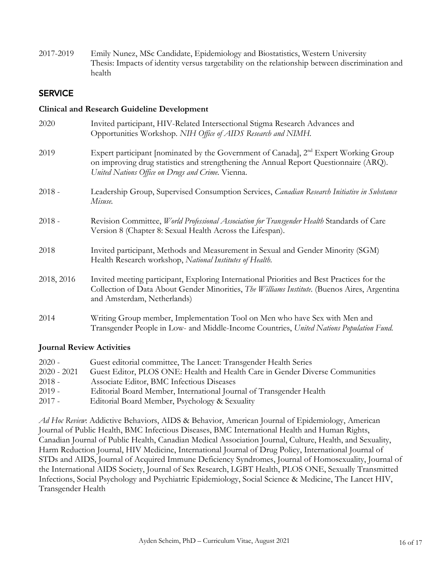2017-2019 Emily Nunez, MSc Candidate, Epidemiology and Biostatistics, Western University Thesis: Impacts of identity versus targetability on the relationship between discrimination and health

### **SERVICE**

#### **Clinical and Research Guideline Development**

| 2020       | Invited participant, HIV-Related Intersectional Stigma Research Advances and<br>Opportunities Workshop. NIH Office of AIDS Research and NIMH.                                                                                                  |
|------------|------------------------------------------------------------------------------------------------------------------------------------------------------------------------------------------------------------------------------------------------|
| 2019       | Expert participant [nominated by the Government of Canada], 2 <sup>nd</sup> Expert Working Group<br>on improving drug statistics and strengthening the Annual Report Questionnaire (ARQ).<br>United Nations Office on Drugs and Crime. Vienna. |
| $2018 -$   | Leadership Group, Supervised Consumption Services, Canadian Research Initiative in Substance<br>Misuse.                                                                                                                                        |
| $2018 -$   | Revision Committee, World Professional Association for Transgender Health Standards of Care<br>Version 8 (Chapter 8: Sexual Health Across the Lifespan).                                                                                       |
| 2018       | Invited participant, Methods and Measurement in Sexual and Gender Minority (SGM)<br>Health Research workshop, National Institutes of Health.                                                                                                   |
| 2018, 2016 | Invited meeting participant, Exploring International Priorities and Best Practices for the<br>Collection of Data About Gender Minorities, The Williams Institute. (Buenos Aires, Argentina<br>and Amsterdam, Netherlands)                      |
| 2014       | Writing Group member, Implementation Tool on Men who have Sex with Men and<br>Transgender People in Low- and Middle-Income Countries, United Nations Population Fund.                                                                          |

#### **Journal Review Activities**

| $2020 -$      | Guest editorial committee, The Lancet: Transgender Health Series             |
|---------------|------------------------------------------------------------------------------|
| $2020 - 2021$ | Guest Editor, PLOS ONE: Health and Health Care in Gender Diverse Communities |
| $2018 -$      | Associate Editor, BMC Infectious Diseases                                    |
| $2019 -$      | Editorial Board Member, International Journal of Transgender Health          |
| $2017 -$      | Editorial Board Member, Psychology & Sexuality                               |

*Ad Hoc Review*: Addictive Behaviors, AIDS & Behavior, American Journal of Epidemiology, American Journal of Public Health, BMC Infectious Diseases, BMC International Health and Human Rights, Canadian Journal of Public Health, Canadian Medical Association Journal, Culture, Health, and Sexuality, Harm Reduction Journal, HIV Medicine, International Journal of Drug Policy, International Journal of STDs and AIDS, Journal of Acquired Immune Deficiency Syndromes, Journal of Homosexuality, Journal of the International AIDS Society, Journal of Sex Research, LGBT Health, PLOS ONE, Sexually Transmitted Infections, Social Psychology and Psychiatric Epidemiology, Social Science & Medicine, The Lancet HIV, Transgender Health